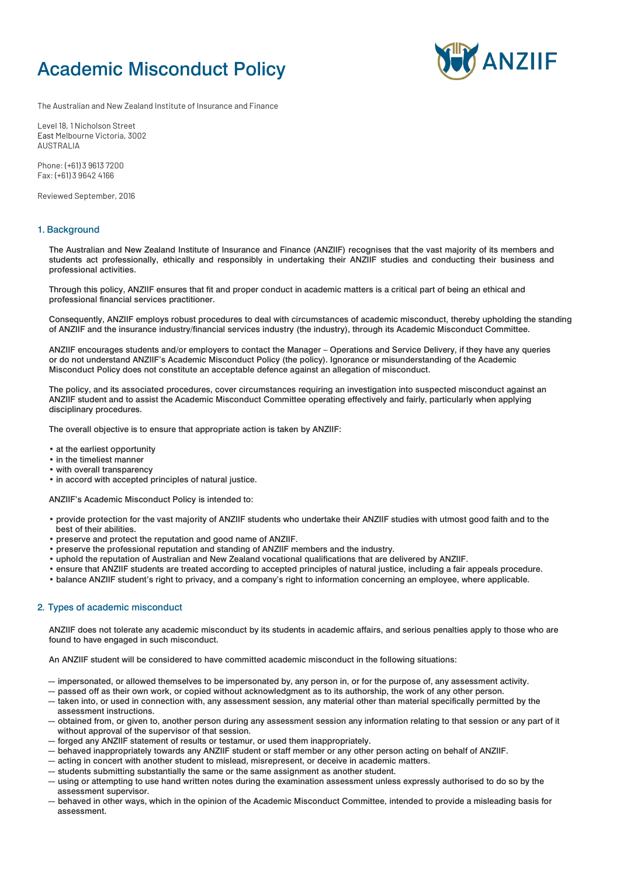# Academic Misconduct Policy



The Australian and New Zealand Institute of Insurance and Finance

Level 18, 1 Nicholson Street East Melbourne Victoria, 3002 AUSTRALIA

Phone: (+61) 3 9613 7200 Fax: (+61) 3 9642 4166

Reviewed September, 2016

## 1. Background

The Australian and New Zealand Institute of Insurance and Finance (ANZIIF) recognises that the vast majority of its members and students act professionally, ethically and responsibly in undertaking their ANZIIF studies and conducting their business and professional activities.

Through this policy, ANZIIF ensures that fit and proper conduct in academic matters is a critical part of being an ethical and professional financial services practitioner.

Consequently, ANZIIF employs robust procedures to deal with circumstances of academic misconduct, thereby upholding the standing of ANZIIF and the insurance industry/financial services industry (the industry), through its Academic Misconduct Committee.

ANZIIF encourages students and/or employers to contact the Manager – Operations and Service Delivery, if they have any queries or do not understand ANZIIF's Academic Misconduct Policy (the policy). Ignorance or misunderstanding of the Academic Misconduct Policy does not constitute an acceptable defence against an allegation of misconduct.

The policy, and its associated procedures, cover circumstances requiring an investigation into suspected misconduct against an ANZIIF student and to assist the Academic Misconduct Committee operating effectively and fairly, particularly when applying disciplinary procedures.

The overall objective is to ensure that appropriate action is taken by ANZIIF:

• at the earliest opportunity

- in the timeliest manner
- with overall transparency
- in accord with accepted principles of natural justice.

ANZIIF's Academic Misconduct Policy is intended to:

- provide protection for the vast majority of ANZIIF students who undertake their ANZIIF studies with utmost good faith and to the best of their abilities.
- preserve and protect the reputation and good name of ANZIIF.
- preserve the professional reputation and standing of ANZIIF members and the industry.
- uphold the reputation of Australian and New Zealand vocational qualifications that are delivered by ANZIIF.
- ensure that ANZIIF students are treated according to accepted principles of natural justice, including a fair appeals procedure.
- balance ANZIIF student's right to privacy, and a company's right to information concerning an employee, where applicable.

## 2. Types of academic misconduct

ANZIIF does not tolerate any academic misconduct by its students in academic affairs, and serious penalties apply to those who are found to have engaged in such misconduct.

An ANZIIF student will be considered to have committed academic misconduct in the following situations:

- impersonated, or allowed themselves to be impersonated by, any person in, or for the purpose of, any assessment activity.
- passed off as their own work, or copied without acknowledgment as to its authorship, the work of any other person.
- taken into, or used in connection with, any assessment session, any material other than material specifically permitted by the assessment instructions.
- obtained from, or given to, another person during any assessment session any information relating to that session or any part of it without approval of the supervisor of that session.
- forged any ANZIIF statement of results or testamur, or used them inappropriately.
- behaved inappropriately towards any ANZIIF student or staff member or any other person acting on behalf of ANZIIF.
- acting in concert with another student to mislead, misrepresent, or deceive in academic matters.
- students submitting substantially the same or the same assignment as another student.
- using or attempting to use hand written notes during the examination assessment unless expressly authorised to do so by the assessment supervisor.
- behaved in other ways, which in the opinion of the Academic Misconduct Committee, intended to provide a misleading basis for assessment.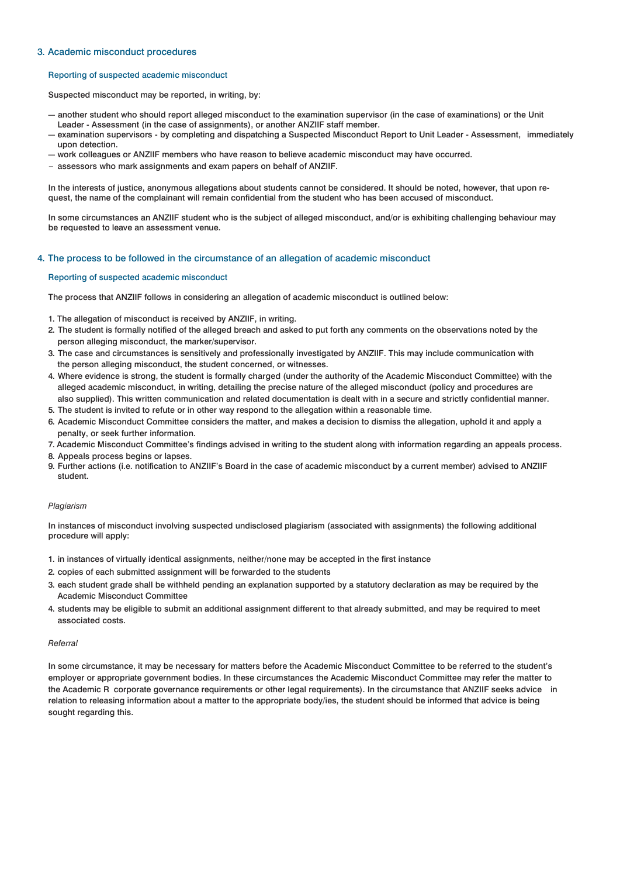## 3. Academic misconduct procedures

#### Reporting of suspected academic misconduct

Suspected misconduct may be reported, in writing, by:

- another student who should report alleged misconduct to the examination supervisor (in the case of examinations) or the Unit Leader - Assessment (in the case of assignments), or another ANZIIF staff member.
- examination supervisors by completing and dispatching a Suspected Misconduct Report to Unit Leader Assessment, immediately upon detection.
- work colleagues or ANZIIF members who have reason to believe academic misconduct may have occurred.
- assessors who mark assignments and exam papers on behalf of ANZIIF.

In the interests of justice, anonymous allegations about students cannot be considered. It should be noted, however, that upon request, the name of the complainant will remain confidential from the student who has been accused of misconduct.

In some circumstances an ANZIIF student who is the subject of alleged misconduct, and/or is exhibiting challenging behaviour may be requested to leave an assessment venue.

#### 4. The process to be followed in the circumstance of an allegation of academic misconduct

#### Reporting of suspected academic misconduct

The process that ANZIIF follows in considering an allegation of academic misconduct is outlined below:

- 1. The allegation of misconduct is received by ANZIIF, in writing.
- 2. The student is formally notified of the alleged breach and asked to put forth any comments on the observations noted by the person alleging misconduct, the marker/supervisor.
- 3. The case and circumstances is sensitively and professionally investigated by ANZIIF. This may include communication with the person alleging misconduct, the student concerned, or witnesses.
- 4. Where evidence is strong, the student is formally charged (under the authority of the Academic Misconduct Committee) with the alleged academic misconduct, in writing, detailing the precise nature of the alleged misconduct (policy and procedures are also supplied). This written communication and related documentation is dealt with in a secure and strictly confidential manner.
- 5. The student is invited to refute or in other way respond to the allegation within a reasonable time.
- 6. Academic Misconduct Committee considers the matter, and makes a decision to dismiss the allegation, uphold it and apply a penalty, or seek further information.
- 7. Academic Misconduct Committee's findings advised in writing to the student along with information regarding an appeals process.
- 8. Appeals process begins or lapses.
- 9. Further actions (i.e. notification to ANZIIF's Board in the case of academic misconduct by a current member) advised to ANZIIF student.

## *Plagiarism*

In instances of misconduct involving suspected undisclosed plagiarism (associated with assignments) the following additional procedure will apply:

- 1. in instances of virtually identical assignments, neither/none may be accepted in the first instance
- 2. copies of each submitted assignment will be forwarded to the students
- 3. each student grade shall be withheld pending an explanation supported by a statutory declaration as may be required by the Academic Misconduct Committee
- 4. students may be eligible to submit an additional assignment different to that already submitted, and may be required to meet associated costs.

#### *Referral*

In some circumstance, it may be necessary for matters before the Academic Misconduct Committee to be referred to the student's employer or appropriate government bodies. In these circumstances the Academic Misconduct Committee may refer the matter to the Academic R corporate governance requirements or other legal requirements). In the circumstance that ANZIIF seeks advice in relation to releasing information about a matter to the appropriate body/ies, the student should be informed that advice is being sought regarding this.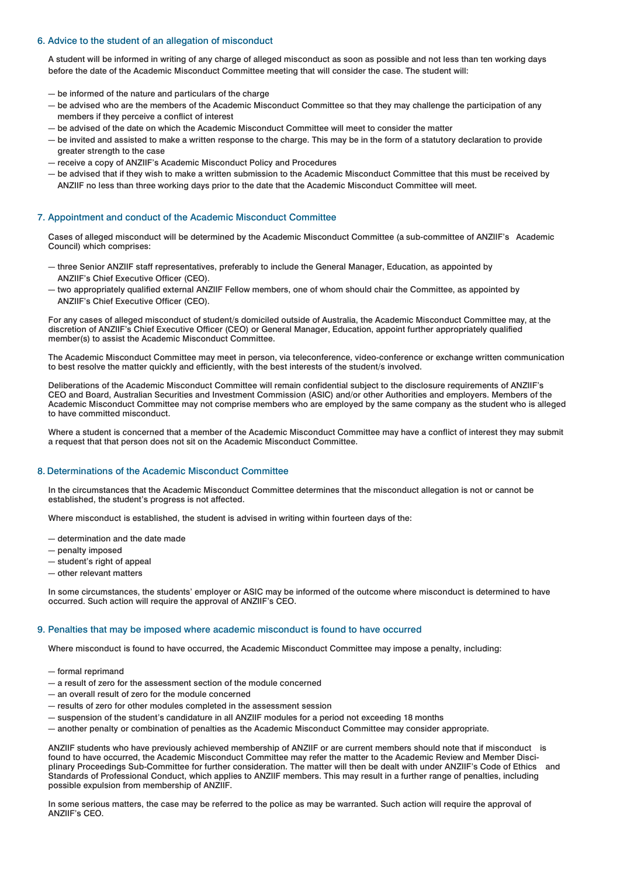## 6. Advice to the student of an allegation of misconduct

A student will be informed in writing of any charge of alleged misconduct as soon as possible and not less than ten working days before the date of the Academic Misconduct Committee meeting that will consider the case. The student will:

- be informed of the nature and particulars of the charge
- be advised who are the members of the Academic Misconduct Committee so that they may challenge the participation of any members if they perceive a conflict of interest
- be advised of the date on which the Academic Misconduct Committee will meet to consider the matter
- be invited and assisted to make a written response to the charge. This may be in the form of a statutory declaration to provide greater strength to the case
- receive a copy of ANZIIF's Academic Misconduct Policy and Procedures
- be advised that if they wish to make a written submission to the Academic Misconduct Committee that this must be received by ANZIIF no less than three working days prior to the date that the Academic Misconduct Committee will meet.

## 7. Appointment and conduct of the Academic Misconduct Committee

Cases of alleged misconduct will be determined by the Academic Misconduct Committee (a sub-committee of ANZIIF's Academic Council) which comprises:

- three Senior ANZIIF staff representatives, preferably to include the General Manager, Education, as appointed by ANZIIF's Chief Executive Officer (CEO).
- two appropriately qualified external ANZIIF Fellow members, one of whom should chair the Committee, as appointed by ANZIIF's Chief Executive Officer (CEO).

For any cases of alleged misconduct of student/s domiciled outside of Australia, the Academic Misconduct Committee may, at the discretion of ANZIIF's Chief Executive Officer (CEO) or General Manager, Education, appoint further appropriately qualified member(s) to assist the Academic Misconduct Committee.

The Academic Misconduct Committee may meet in person, via teleconference, video-conference or exchange written communication to best resolve the matter quickly and efficiently, with the best interests of the student/s involved.

Deliberations of the Academic Misconduct Committee will remain confidential subject to the disclosure requirements of ANZIIF's CEO and Board, Australian Securities and Investment Commission (ASIC) and/or other Authorities and employers. Members of the Academic Misconduct Committee may not comprise members who are employed by the same company as the student who is alleged to have committed misconduct.

Where a student is concerned that a member of the Academic Misconduct Committee may have a conflict of interest they may submit a request that that person does not sit on the Academic Misconduct Committee.

#### 8. Determinations of the Academic Misconduct Committee

In the circumstances that the Academic Misconduct Committee determines that the misconduct allegation is not or cannot be established, the student's progress is not affected.

Where misconduct is established, the student is advised in writing within fourteen days of the:

- determination and the date made
- penalty imposed
- student's right of appeal
- other relevant matters

In some circumstances, the students' employer or ASIC may be informed of the outcome where misconduct is determined to have occurred. Such action will require the approval of ANZIIF's CEO.

#### 9. Penalties that may be imposed where academic misconduct is found to have occurred

Where misconduct is found to have occurred, the Academic Misconduct Committee may impose a penalty, including:

- formal reprimand
- a result of zero for the assessment section of the module concerned
- an overall result of zero for the module concerned
- results of zero for other modules completed in the assessment session
- suspension of the student's candidature in all ANZIIF modules for a period not exceeding 18 months
- another penalty or combination of penalties as the Academic Misconduct Committee may consider appropriate.

ANZIIF students who have previously achieved membership of ANZIIF or are current members should note that if misconduct is found to have occurred, the Academic Misconduct Committee may refer the matter to the Academic Review and Member Disciplinary Proceedings Sub-Committee for further consideration. The matter will then be dealt with under ANZIIF's Code of Ethics and Standards of Professional Conduct, which applies to ANZIIF members. This may result in a further range of penalties, including possible expulsion from membership of ANZIIF.

In some serious matters, the case may be referred to the police as may be warranted. Such action will require the approval of ANZIIF's CEO.